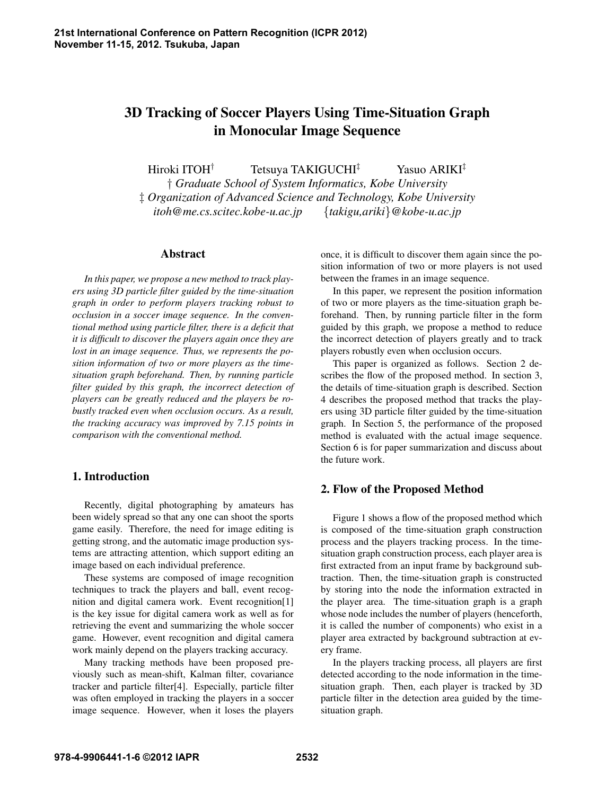# 3D Tracking of Soccer Players Using Time-Situation Graph in Monocular Image Sequence

Hiroki ITOH*†* Tetsuya TAKIGUCHI*‡* Yasuo ARIKI*‡ † Graduate School of System Informatics, Kobe University ‡ Organization of Advanced Science and Technology, Kobe University itoh@me.cs.scitec.kobe-u.ac.jp {takigu,ariki}@kobe-u.ac.jp*

#### Abstract

*In this paper, we propose a new method to track players using 3D particle filter guided by the time-situation graph in order to perform players tracking robust to occlusion in a soccer image sequence. In the conventional method using particle filter, there is a deficit that it is difficult to discover the players again once they are lost in an image sequence. Thus, we represents the position information of two or more players as the timesituation graph beforehand. Then, by running particle filter guided by this graph, the incorrect detection of players can be greatly reduced and the players be robustly tracked even when occlusion occurs. As a result, the tracking accuracy was improved by 7.15 points in comparison with the conventional method.*

#### 1. Introduction

Recently, digital photographing by amateurs has been widely spread so that any one can shoot the sports game easily. Therefore, the need for image editing is getting strong, and the automatic image production systems are attracting attention, which support editing an image based on each individual preference.

These systems are composed of image recognition techniques to track the players and ball, event recognition and digital camera work. Event recognition[1] is the key issue for digital camera work as well as for retrieving the event and summarizing the whole soccer game. However, event recognition and digital camera work mainly depend on the players tracking accuracy.

Many tracking methods have been proposed previously such as mean-shift, Kalman filter, covariance tracker and particle filter[4]. Especially, particle filter was often employed in tracking the players in a soccer image sequence. However, when it loses the players once, it is difficult to discover them again since the position information of two or more players is not used between the frames in an image sequence.

In this paper, we represent the position information of two or more players as the time-situation graph beforehand. Then, by running particle filter in the form guided by this graph, we propose a method to reduce the incorrect detection of players greatly and to track players robustly even when occlusion occurs.

This paper is organized as follows. Section 2 describes the flow of the proposed method. In section 3, the details of time-situation graph is described. Section 4 describes the proposed method that tracks the players using 3D particle filter guided by the time-situation graph. In Section 5, the performance of the proposed method is evaluated with the actual image sequence. Section 6 is for paper summarization and discuss about the future work.

# 2. Flow of the Proposed Method

Figure 1 shows a flow of the proposed method which is composed of the time-situation graph construction process and the players tracking process. In the timesituation graph construction process, each player area is first extracted from an input frame by background subtraction. Then, the time-situation graph is constructed by storing into the node the information extracted in the player area. The time-situation graph is a graph whose node includes the number of players (henceforth, it is called the number of components) who exist in a player area extracted by background subtraction at every frame.

In the players tracking process, all players are first detected according to the node information in the timesituation graph. Then, each player is tracked by 3D particle filter in the detection area guided by the timesituation graph.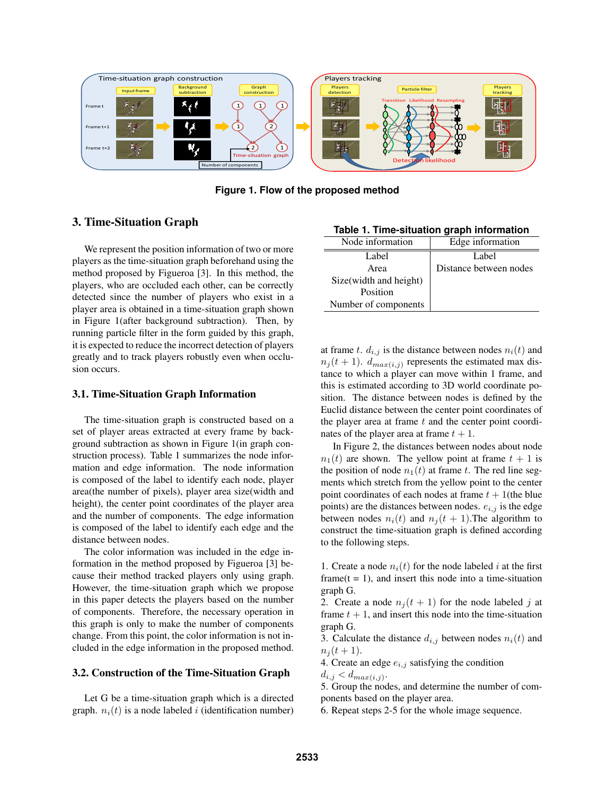

**Figure 1. Flow of the proposed method**

## 3. Time-Situation Graph

We represent the position information of two or more players as the time-situation graph beforehand using the method proposed by Figueroa [3]. In this method, the players, who are occluded each other, can be correctly detected since the number of players who exist in a player area is obtained in a time-situation graph shown in Figure 1(after background subtraction). Then, by running particle filter in the form guided by this graph, it is expected to reduce the incorrect detection of players greatly and to track players robustly even when occlusion occurs.

#### 3.1. Time-Situation Graph Information

The time-situation graph is constructed based on a set of player areas extracted at every frame by background subtraction as shown in Figure 1(in graph construction process). Table 1 summarizes the node information and edge information. The node information is composed of the label to identify each node, player area(the number of pixels), player area size(width and height), the center point coordinates of the player area and the number of components. The edge information is composed of the label to identify each edge and the distance between nodes.

The color information was included in the edge information in the method proposed by Figueroa [3] because their method tracked players only using graph. However, the time-situation graph which we propose in this paper detects the players based on the number of components. Therefore, the necessary operation in this graph is only to make the number of components change. From this point, the color information is not included in the edge information in the proposed method.

#### 3.2. Construction of the Time-Situation Graph

Let G be a time-situation graph which is a directed graph.  $n_i(t)$  is a node labeled *i* (identification number)

| Table 1. Time-situation graph information |  |  |  |  |
|-------------------------------------------|--|--|--|--|
|-------------------------------------------|--|--|--|--|

| Node information       | Edge information       |  |  |  |
|------------------------|------------------------|--|--|--|
| Label                  | Label                  |  |  |  |
| Area                   | Distance between nodes |  |  |  |
| Size(width and height) |                        |  |  |  |
| Position               |                        |  |  |  |
| Number of components   |                        |  |  |  |

at frame *t*.  $d_{i,j}$  is the distance between nodes  $n_i(t)$  and  $n_j(t+1)$ .  $d_{max(i,j)}$  represents the estimated max distance to which a player can move within 1 frame, and this is estimated according to 3D world coordinate position. The distance between nodes is defined by the Euclid distance between the center point coordinates of the player area at frame *t* and the center point coordinates of the player area at frame  $t + 1$ .

In Figure 2, the distances between nodes about node  $n_1(t)$  are shown. The yellow point at frame  $t + 1$  is the position of node  $n_1(t)$  at frame *t*. The red line segments which stretch from the yellow point to the center point coordinates of each nodes at frame  $t + 1$ (the blue points) are the distances between nodes. *ei,j* is the edge between nodes  $n_i(t)$  and  $n_j(t + 1)$ . The algorithm to construct the time-situation graph is defined according to the following steps.

1. Create a node  $n_i(t)$  for the node labeled *i* at the first frame( $t = 1$ ), and insert this node into a time-situation graph G.

2. Create a node  $n_j(t + 1)$  for the node labeled *j* at frame  $t + 1$ , and insert this node into the time-situation graph G.

3. Calculate the distance  $d_{i,j}$  between nodes  $n_i(t)$  and  $n_i(t+1)$ .

4. Create an edge *ei,j* satisfying the condition

 $d_{i,j} < d_{max(i,j)}$ .

5. Group the nodes, and determine the number of components based on the player area.

6. Repeat steps 2-5 for the whole image sequence.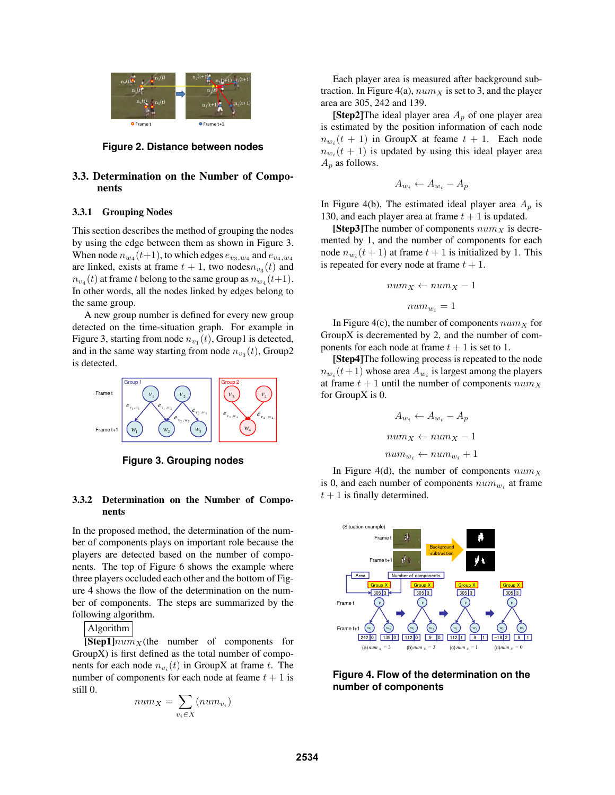

**Figure 2. Distance between nodes**

## 3.3. Determination on the Number of Components

#### 3.3.1 Grouping Nodes

This section describes the method of grouping the nodes by using the edge between them as shown in Figure 3. When node  $n_{w_4}(t+1)$ , to which edges  $e_{v_3,w_4}$  and  $e_{v_4,w_4}$ are linked, exists at frame  $t + 1$ , two nodes $n_{v_3}(t)$  and  $n_{v_4}(t)$  at frame *t* belong to the same group as  $n_{w_4}(t+1)$ . In other words, all the nodes linked by edges belong to the same group.

A new group number is defined for every new group detected on the time-situation graph. For example in Figure 3, starting from node  $n_{v_1}(t)$ , Group1 is detected, and in the same way starting from node  $n_{v_3}(t)$ , Group2 is detected.



**Figure 3. Grouping nodes**

#### 3.3.2 Determination on the Number of Components

In the proposed method, the determination of the number of components plays on important role because the players are detected based on the number of components. The top of Figure 6 shows the example where three players occluded each other and the bottom of Figure 4 shows the flow of the determination on the number of components. The steps are summarized by the following algorithm.

Algorithm

 $\sqrt{\text{Step 1} |num}$ <sub>X</sub>(the number of components for GroupX) is first defined as the total number of components for each node  $n_{v_i}(t)$  in GroupX at frame  $t$ . The number of components for each node at feame  $t + 1$  is still 0.

$$
num_X = \sum_{v_i \in X} (num_{v_i}
$$

)

Each player area is measured after background subtraction. In Figure 4(a),  $num_X$  is set to 3, and the player area are 305, 242 and 139.

**[Step2]The ideal player area**  $A_p$  **of one player area** is estimated by the position information of each node  $n_{w_i}(t + 1)$  in GroupX at feame  $t + 1$ . Each node  $n_{w_i}(t+1)$  is updated by using this ideal player area *A<sup>p</sup>* as follows.

$$
A_{w_i} \leftarrow A_{w_i} - A_p
$$

In Figure 4(b), The estimated ideal player area  $A_p$  is 130, and each player area at frame  $t + 1$  is updated.

**[Step3]The number of components**  $num_X$  **is decre**mented by 1, and the number of components for each node  $n_{w_i}(t+1)$  at frame  $t+1$  is initialized by 1. This is repeated for every node at frame  $t + 1$ .

$$
num_X \leftarrow num_X - 1
$$

$$
num_{w_i} = 1
$$

In Figure 4(c), the number of components  $num_X$  for GroupX is decremented by 2, and the number of components for each node at frame  $t + 1$  is set to 1.

[Step4]The following process is repeated to the node  $n_{w_i}(t+1)$  whose area  $A_{w_i}$  is largest among the players at frame  $t + 1$  until the number of components  $num_X$ for GroupX is 0.

$$
A_{w_i} \leftarrow A_{w_i} - A_p
$$

$$
num_X \leftarrow num_X - 1
$$

$$
num_{w_i} \leftarrow num_{w_i} + 1
$$

In Figure 4(d), the number of components *num<sup>X</sup>* is 0, and each number of components  $num_{w_i}$  at frame  $t + 1$  is finally determined.



**Figure 4. Flow of the determination on the number of components**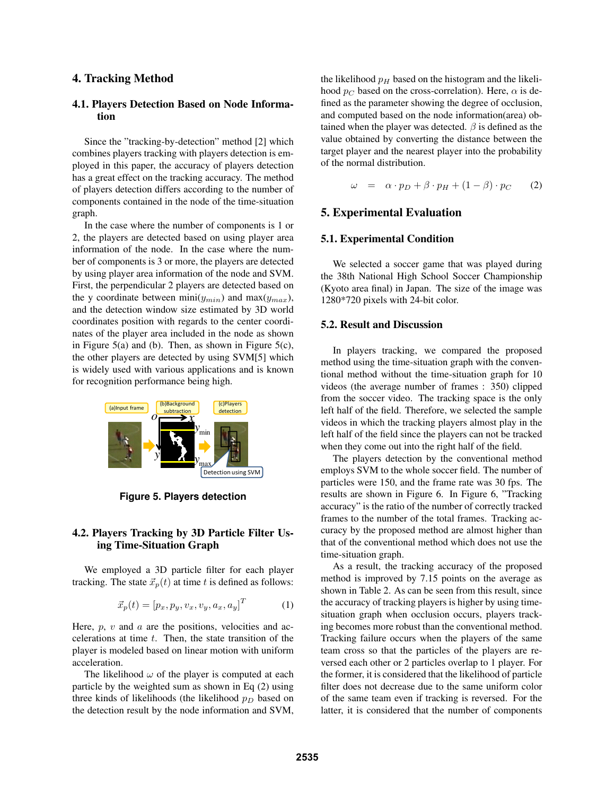## 4. Tracking Method

#### 4.1. Players Detection Based on Node Information

Since the "tracking-by-detection" method [2] which combines players tracking with players detection is employed in this paper, the accuracy of players detection has a great effect on the tracking accuracy. The method of players detection differs according to the number of components contained in the node of the time-situation graph.

In the case where the number of components is 1 or 2, the players are detected based on using player area information of the node. In the case where the number of components is 3 or more, the players are detected by using player area information of the node and SVM. First, the perpendicular 2 players are detected based on the y coordinate between mini $(y_{min})$  and max $(y_{max})$ , and the detection window size estimated by 3D world coordinates position with regards to the center coordinates of the player area included in the node as shown in Figure  $5(a)$  and (b). Then, as shown in Figure  $5(c)$ , the other players are detected by using SVM[5] which is widely used with various applications and is known for recognition performance being high.



**Figure 5. Players detection**

## 4.2. Players Tracking by 3D Particle Filter Using Time-Situation Graph

We employed a 3D particle filter for each player tracking. The state  $\vec{x}_p(t)$  at time *t* is defined as follows:

$$
\vec{x}_p(t) = [p_x, p_y, v_x, v_y, a_x, a_y]^T
$$
\n(1)

Here, *p*, *v* and *a* are the positions, velocities and accelerations at time *t*. Then, the state transition of the player is modeled based on linear motion with uniform acceleration.

The likelihood  $\omega$  of the player is computed at each particle by the weighted sum as shown in Eq (2) using three kinds of likelihoods (the likelihood *p<sup>D</sup>* based on the detection result by the node information and SVM,

the likelihood  $p<sub>H</sub>$  based on the histogram and the likelihood  $p_C$  based on the cross-correlation). Here,  $\alpha$  is defined as the parameter showing the degree of occlusion, and computed based on the node information(area) obtained when the player was detected. *β* is defined as the value obtained by converting the distance between the target player and the nearest player into the probability of the normal distribution.

$$
\omega = \alpha \cdot p_D + \beta \cdot p_H + (1 - \beta) \cdot p_C \qquad (2)
$$

# 5. Experimental Evaluation

#### 5.1. Experimental Condition

We selected a soccer game that was played during the 38th National High School Soccer Championship (Kyoto area final) in Japan. The size of the image was 1280\*720 pixels with 24-bit color.

#### 5.2. Result and Discussion

In players tracking, we compared the proposed method using the time-situation graph with the conventional method without the time-situation graph for 10 videos (the average number of frames : 350) clipped from the soccer video. The tracking space is the only left half of the field. Therefore, we selected the sample videos in which the tracking players almost play in the left half of the field since the players can not be tracked when they come out into the right half of the field.

The players detection by the conventional method employs SVM to the whole soccer field. The number of particles were 150, and the frame rate was 30 fps. The results are shown in Figure 6. In Figure 6, "Tracking accuracy" is the ratio of the number of correctly tracked frames to the number of the total frames. Tracking accuracy by the proposed method are almost higher than that of the conventional method which does not use the time-situation graph.

As a result, the tracking accuracy of the proposed method is improved by 7.15 points on the average as shown in Table 2. As can be seen from this result, since the accuracy of tracking players is higher by using timesituation graph when occlusion occurs, players tracking becomes more robust than the conventional method. Tracking failure occurs when the players of the same team cross so that the particles of the players are reversed each other or 2 particles overlap to 1 player. For the former, it is considered that the likelihood of particle filter does not decrease due to the same uniform color of the same team even if tracking is reversed. For the latter, it is considered that the number of components